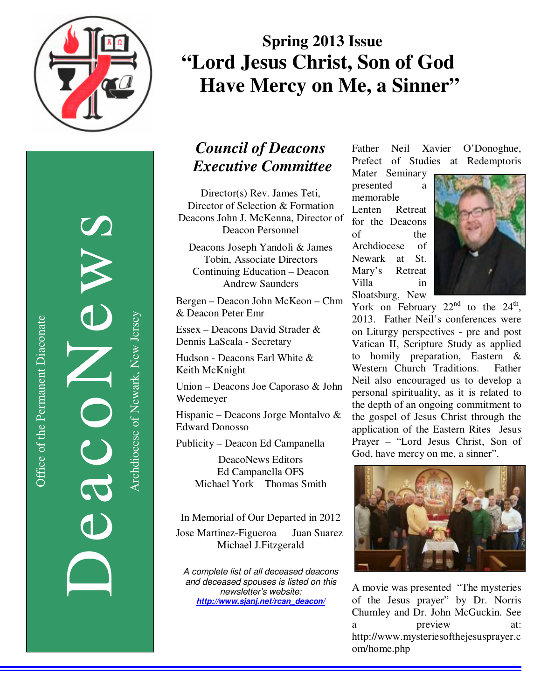

DeacoNews News NES Archdiocese of Newark, New Jersey Archdiocese of Newark, New Jersey

# **Spring 2013 Issue "Lord Jesus Christ, Son of God Have Mercy on Me, a Sinner"**

### *Council of Deacons Executive Committee*

Director(s) Rev. James Teti, Director of Selection & Formation Deacons John J. McKenna, Director of Deacon Personnel

Deacons Joseph Yandoli & James Tobin, Associate Directors Continuing Education – Deacon Andrew Saunders

Bergen – Deacon John McKeon – Chm & Deacon Peter Emr

Essex – Deacons David Strader & Dennis LaScala - Secretary

Hudson - Deacons Earl White & Keith McKnight

Union – Deacons Joe Caporaso & John Wedemeyer

Hispanic – Deacons Jorge Montalvo & Edward Donosso

Publicity – Deacon Ed Campanella

DeacoNews Editors Ed Campanella OFS Michael York Thomas Smith

In Memorial of Our Departed in 2012 Jose Martinez-Figueroa Juan Suarez Michael J.Fitzgerald

A complete list of all deceased deacons and deceased spouses is listed on this newsletter's website: *http://www.sjanj.net/rcan\_deacon/* 

Father Neil Xavier O'Donoghue, Prefect of Studies at Redemptoris

Mater Seminary presented a memorable Lenten Retreat for the Deacons of the Archdiocese of Newark at St. Mary's Retreat Villa in Sloatsburg, New



York on February  $22<sup>nd</sup>$  to the  $24<sup>th</sup>$ , 2013. Father Neil's conferences were on Liturgy perspectives - pre and post Vatican II, Scripture Study as applied to homily preparation, Eastern & Western Church Traditions. Father Neil also encouraged us to develop a personal spirituality, as it is related to the depth of an ongoing commitment to the gospel of Jesus Christ through the application of the Eastern Rites Jesus Prayer – "Lord Jesus Christ, Son of God, have mercy on me, a sinner".



A movie was presented "The mysteries of the Jesus prayer" by Dr. Norris Chumley and Dr. John McGuckin. See a preview at: http://www.mysteriesofthejesusprayer.c om/home.php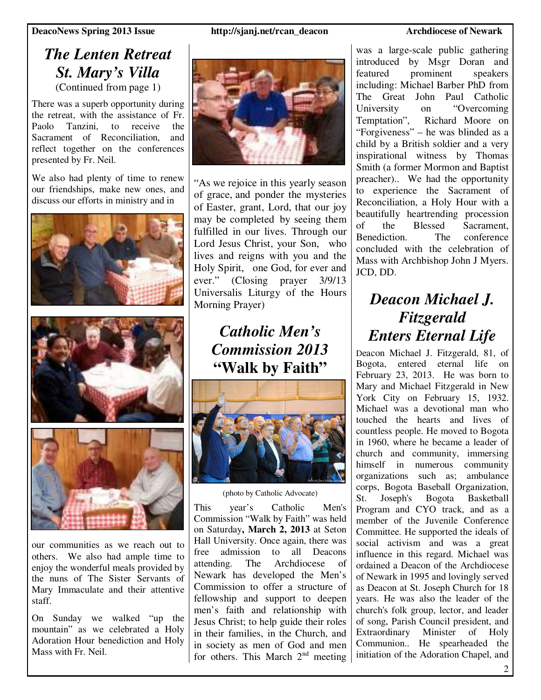**DeacoNews Spring 2013 Issue http://sjanj.net/rcan\_deacon Archdiocese of Newark** 

### *The Lenten Retreat St. Mary's Villa*  (Continued from page 1)

There was a superb opportunity during the retreat, with the assistance of Fr.<br>Paolo Tanzini, to receive the Tanzini, to receive the Sacrament of Reconciliation, and reflect together on the conferences presented by Fr. Neil.

We also had plenty of time to renew our friendships, make new ones, and discuss our efforts in ministry and in







our communities as we reach out to others. We also had ample time to enjoy the wonderful meals provided by the nuns of The Sister Servants of Mary Immaculate and their attentive staff.

On Sunday we walked "up the mountain" as we celebrated a Holy Adoration Hour benediction and Holy Mass with Fr. Neil.



"As we rejoice in this yearly season of grace, and ponder the mysteries of Easter, grant, Lord, that our joy may be completed by seeing them fulfilled in our lives. Through our Lord Jesus Christ, your Son, who lives and reigns with you and the Holy Spirit, one God, for ever and ever." (Closing prayer 3/9/13 Universalis Liturgy of the Hours Morning Prayer)

> *Catholic Men's Commission 2013*  **"Walk by Faith"**



(photo by Catholic Advocate)

This year's Catholic Men's Commission "Walk by Faith" was held on Saturday**, March 2, 2013** at Seton Hall University. Once again, there was free admission to all Deacons attending. The Archdiocese of Newark has developed the Men's Commission to offer a structure of fellowship and support to deepen men's faith and relationship with Jesus Christ; to help guide their roles in their families, in the Church, and in society as men of God and men for others. This March  $2<sup>nd</sup>$  meeting

was a large-scale public gathering introduced by Msgr Doran and featured prominent speakers including: Michael Barber PhD from The Great John Paul Catholic University on "Overcoming Temptation", Richard Moore on "Forgiveness" – he was blinded as a child by a British soldier and a very inspirational witness by Thomas Smith (a former Mormon and Baptist preacher).. We had the opportunity to experience the Sacrament of Reconciliation, a Holy Hour with a beautifully heartrending procession of the Blessed Sacrament, Benediction. The conference concluded with the celebration of Mass with Archbishop John J Myers. JCD, DD.

### *Deacon Michael J. Fitzgerald Enters Eternal Life*

Deacon Michael J. Fitzgerald, 81, of Bogota, entered eternal life on February 23, 2013. He was born to Mary and Michael Fitzgerald in New York City on February 15, 1932. Michael was a devotional man who touched the hearts and lives of countless people. He moved to Bogota in 1960, where he became a leader of church and community, immersing himself in numerous community organizations such as; ambulance corps, Bogota Baseball Organization, St. Joseph's Bogota Basketball Program and CYO track, and as a member of the Juvenile Conference Committee. He supported the ideals of social activism and was a great influence in this regard. Michael was ordained a Deacon of the Archdiocese of Newark in 1995 and lovingly served as Deacon at St. Joseph Church for 18 years. He was also the leader of the church's folk group, lector, and leader of song, Parish Council president, and Extraordinary Minister of Holy Communion.. He spearheaded the initiation of the Adoration Chapel, and

2